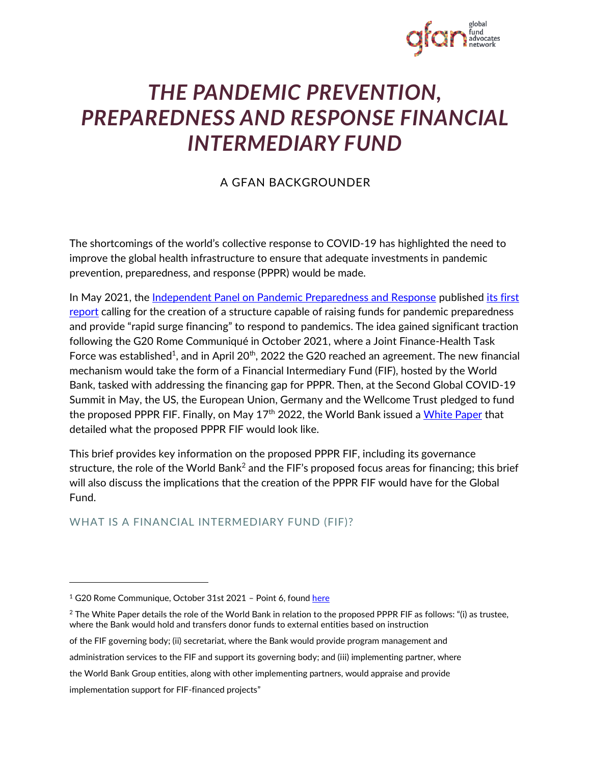

# *THE PANDEMIC PREVENTION, PREPAREDNESS AND RESPONSE FINANCIAL INTERMEDIARY FUND*

# A GFAN BACKGROUNDER

The shortcomings of the world's collective response to COVID-19 has highlighted the need to improve the global health infrastructure to ensure that adequate investments in pandemic prevention, preparedness, and response (PPPR) would be made.

In May 2021, th[e Independent Panel on Pandemic Preparedness and Response](https://theindependentpanel.org/#:~:text=The%20Independent%20Panel%20for%20Pandemic%20Preparedness%20and%20Response%20was%20Co,Health%20Assembly%20in%20May%202021) published its [first](https://theindependentpanel.org/wp-content/uploads/2021/05/COVID-19-Make-it-the-Last-Pandemic_final.pdf)  [report](https://theindependentpanel.org/wp-content/uploads/2021/05/COVID-19-Make-it-the-Last-Pandemic_final.pdf) calling for the creation of a structure capable of raising funds for pandemic preparedness and provide "rapid surge financing" to respond to pandemics. The idea gained significant traction following the G20 Rome Communiqué in October 2021, where a Joint Finance-Health Task Force was established<sup>1</sup>, and in April 20<sup>th</sup>, 2022 the G20 reached an agreement. The new financial mechanism would take the form of a Financial Intermediary Fund (FIF), hosted by the World Bank, tasked with addressing the financing gap for PPPR. Then, at the Second Global COVID-19 Summit in May, the US, the European Union, Germany and the Wellcome Trust pledged to fund the proposed PPPR FIF. Finally, on May  $17<sup>th</sup>$  2022, the World Bank issued [a White Paper](https://thedocs.worldbank.org/en/doc/018ab1c6b6d8305933661168af757737-0290032022/original/PPR-FIF-WB-White-Paper.pdf) that detailed what the proposed PPPR FIF would look like.

This brief provides key information on the proposed PPPR FIF, including its governance structure, the role of the World Bank<sup>2</sup> and the FIF's proposed focus areas for financing; this brief will also discuss the implications that the creation of the PPPR FIF would have for the Global Fund.

# WHAT IS A FINANCIAL INTERMEDIARY FUND (FIF)?

implementation support for FIF-financed projects"

<sup>&</sup>lt;sup>1</sup> G20 Rome Communique, October 31st 2021 - Point 6, found [here](http://www.g20.utoronto.ca/2021/211031-declaration.html)

 $2$  The White Paper details the role of the World Bank in relation to the proposed PPPR FIF as follows: "(i) as trustee, where the Bank would hold and transfers donor funds to external entities based on instruction

of the FIF governing body; (ii) secretariat, where the Bank would provide program management and

administration services to the FIF and support its governing body; and (iii) implementing partner, where

the World Bank Group entities, along with other implementing partners, would appraise and provide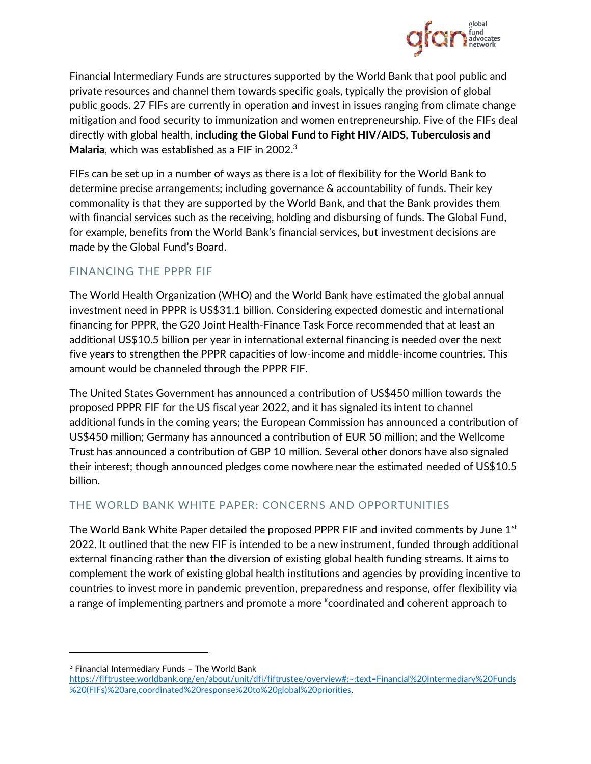

Financial Intermediary Funds are structures supported by the World Bank that pool public and private resources and channel them towards specific goals, typically the provision of global public goods. 27 FIFs are currently in operation and invest in issues ranging from climate change mitigation and food security to immunization and women entrepreneurship. Five of the FIFs deal directly with global health, **including the Global Fund to Fight HIV/AIDS, Tuberculosis and Malaria**, which was established as a FIF in 2002.<sup>3</sup>

FIFs can be set up in a number of ways as there is a lot of flexibility for the World Bank to determine precise arrangements; including governance & accountability of funds. Their key commonality is that they are supported by the World Bank, and that the Bank provides them with financial services such as the receiving, holding and disbursing of funds. The Global Fund, for example, benefits from the World Bank's financial services, but investment decisions are made by the Global Fund's Board.

### FINANCING THE PPPR FIF

The World Health Organization (WHO) and the World Bank have estimated the global annual investment need in PPPR is US\$31.1 billion. Considering expected domestic and international financing for PPPR, the G20 Joint Health-Finance Task Force recommended that at least an additional US\$10.5 billion per year in international external financing is needed over the next five years to strengthen the PPPR capacities of low-income and middle-income countries. This amount would be channeled through the PPPR FIF.

The United States Government has announced a contribution of US\$450 million towards the proposed PPPR FIF for the US fiscal year 2022, and it has signaled its intent to channel additional funds in the coming years; the European Commission has announced a contribution of US\$450 million; Germany has announced a contribution of EUR 50 million; and the Wellcome Trust has announced a contribution of GBP 10 million. Several other donors have also signaled their interest; though announced pledges come nowhere near the estimated needed of US\$10.5 billion.

# THE WORLD BANK WHITE PAPER: CONCERNS AND OPPORTUNITIES

The World Bank White Paper detailed the proposed PPPR FIF and invited comments by June  $1<sup>st</sup>$ 2022. It outlined that the new FIF is intended to be a new instrument, funded through additional external financing rather than the diversion of existing global health funding streams. It aims to complement the work of existing global health institutions and agencies by providing incentive to countries to invest more in pandemic prevention, preparedness and response, offer flexibility via a range of implementing partners and promote a more "coordinated and coherent approach to

<sup>3</sup> Financial Intermediary Funds – The World Bank

[https://fiftrustee.worldbank.org/en/about/unit/dfi/fiftrustee/overview#:~:text=Financial%20Intermediary%20Funds](https://fiftrustee.worldbank.org/en/about/unit/dfi/fiftrustee/overview#:~:text=Financial%20Intermediary%20Funds%20(FIFs)%20are,coordinated%20response%20to%20global%20priorities) [%20\(FIFs\)%20are,coordinated%20response%20to%20global%20priorities.](https://fiftrustee.worldbank.org/en/about/unit/dfi/fiftrustee/overview#:~:text=Financial%20Intermediary%20Funds%20(FIFs)%20are,coordinated%20response%20to%20global%20priorities)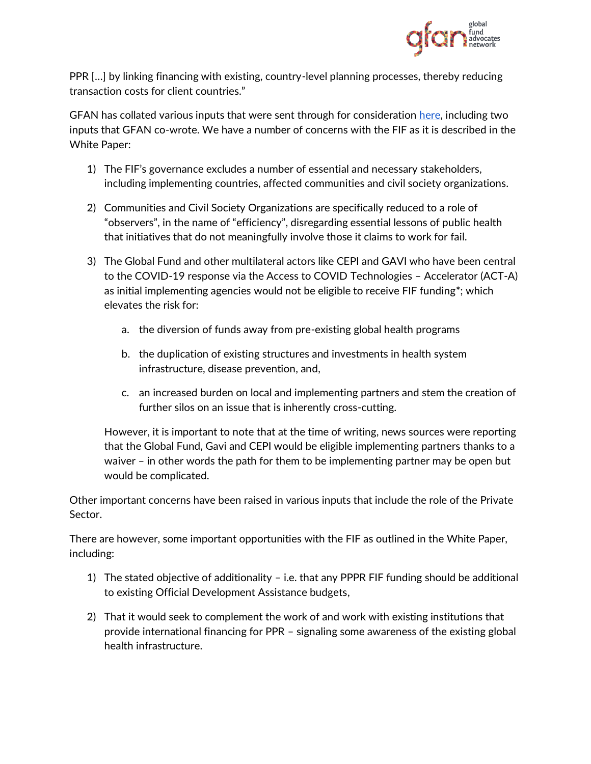

PPR […] by linking financing with existing, country-level planning processes, thereby reducing transaction costs for client countries."

GFAN has collated various inputs that were sent through for consideration [here,](https://www.globalfundadvocatesnetwork.org/toolkit-announced-pandemic-preparedness-fund-pppr-fif/) including two inputs that GFAN co-wrote. We have a number of concerns with the FIF as it is described in the White Paper:

- 1) The FIF's governance excludes a number of essential and necessary stakeholders, including implementing countries, affected communities and civil society organizations.
- 2) Communities and Civil Society Organizations are specifically reduced to a role of "observers", in the name of "efficiency", disregarding essential lessons of public health that initiatives that do not meaningfully involve those it claims to work for fail.
- 3) The Global Fund and other multilateral actors like CEPI and GAVI who have been central to the COVID-19 response via the Access to COVID Technologies – Accelerator (ACT-A) as initial implementing agencies would not be eligible to receive FIF funding\*; which elevates the risk for:
	- a. the diversion of funds away from pre-existing global health programs
	- b. the duplication of existing structures and investments in health system infrastructure, disease prevention, and,
	- c. an increased burden on local and implementing partners and stem the creation of further silos on an issue that is inherently cross-cutting.

However, it is important to note that at the time of writing, news sources were reporting that the Global Fund, Gavi and CEPI would be eligible implementing partners thanks to a waiver – in other words the path for them to be implementing partner may be open but would be complicated.

Other important concerns have been raised in various inputs that include the role of the Private Sector.

There are however, some important opportunities with the FIF as outlined in the White Paper, including:

- 1) The stated objective of additionality i.e. that any PPPR FIF funding should be additional to existing Official Development Assistance budgets,
- 2) That it would seek to complement the work of and work with existing institutions that provide international financing for PPR – signaling some awareness of the existing global health infrastructure.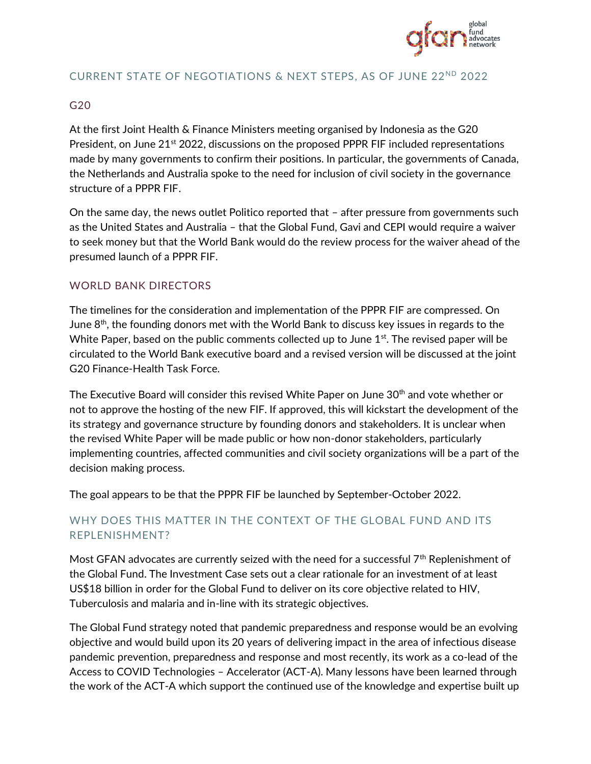

### CURRENT STATE OF NEGOTIATIONS & NEXT STEPS, AS OF JUNE 22ND 2022

#### G20

At the first Joint Health & Finance Ministers meeting organised by Indonesia as the G20 President, on June 21<sup>st</sup> 2022, discussions on the proposed PPPR FIF included representations made by many governments to confirm their positions. In particular, the governments of Canada, the Netherlands and Australia spoke to the need for inclusion of civil society in the governance structure of a PPPR FIF.

On the same day, the news outlet Politico reported that – after pressure from governments such as the United States and Australia – that the Global Fund, Gavi and CEPI would require a waiver to seek money but that the World Bank would do the review process for the waiver ahead of the presumed launch of a PPPR FIF.

### WORLD BANK DIRECTORS

The timelines for the consideration and implementation of the PPPR FIF are compressed. On June  $8<sup>th</sup>$ , the founding donors met with the World Bank to discuss key issues in regards to the White Paper, based on the public comments collected up to June 1<sup>st</sup>. The revised paper will be circulated to the World Bank executive board and a revised version will be discussed at the joint G20 Finance-Health Task Force.

The Executive Board will consider this revised White Paper on June 30<sup>th</sup> and vote whether or not to approve the hosting of the new FIF. If approved, this will kickstart the development of the its strategy and governance structure by founding donors and stakeholders. It is unclear when the revised White Paper will be made public or how non-donor stakeholders, particularly implementing countries, affected communities and civil society organizations will be a part of the decision making process.

The goal appears to be that the PPPR FIF be launched by September-October 2022.

# WHY DOES THIS MATTER IN THE CONTEXT OF THE GLOBAL FUND AND ITS REPLENISHMENT?

Most GFAN advocates are currently seized with the need for a successful  $7<sup>th</sup>$  Replenishment of the Global Fund. The Investment Case sets out a clear rationale for an investment of at least US\$18 billion in order for the Global Fund to deliver on its core objective related to HIV, Tuberculosis and malaria and in-line with its strategic objectives.

The Global Fund strategy noted that pandemic preparedness and response would be an evolving objective and would build upon its 20 years of delivering impact in the area of infectious disease pandemic prevention, preparedness and response and most recently, its work as a co-lead of the Access to COVID Technologies – Accelerator (ACT-A). Many lessons have been learned through the work of the ACT-A which support the continued use of the knowledge and expertise built up